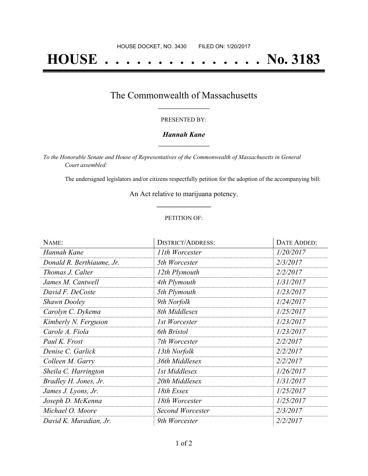# **HOUSE . . . . . . . . . . . . . . . No. 3183**

### The Commonwealth of Massachusetts **\_\_\_\_\_\_\_\_\_\_\_\_\_\_\_\_\_**

#### PRESENTED BY:

#### *Hannah Kane* **\_\_\_\_\_\_\_\_\_\_\_\_\_\_\_\_\_**

*To the Honorable Senate and House of Representatives of the Commonwealth of Massachusetts in General Court assembled:*

The undersigned legislators and/or citizens respectfully petition for the adoption of the accompanying bill:

An Act relative to marijuana potency. **\_\_\_\_\_\_\_\_\_\_\_\_\_\_\_**

#### PETITION OF:

| NAME:                     | <b>DISTRICT/ADDRESS:</b> | DATE ADDED: |
|---------------------------|--------------------------|-------------|
| Hannah Kane               | 11th Worcester           | 1/20/2017   |
| Donald R. Berthiaume, Jr. | 5th Worcester            | 2/3/2017    |
| Thomas J. Calter          | 12th Plymouth            | 2/2/2017    |
| James M. Cantwell         | 4th Plymouth             | 1/31/2017   |
| David F. DeCoste          | 5th Plymouth             | 1/23/2017   |
| <b>Shawn Dooley</b>       | 9th Norfolk              | 1/24/2017   |
| Carolyn C. Dykema         | 8th Middlesex            | 1/25/2017   |
| Kimberly N. Ferguson      | 1st Worcester            | 1/23/2017   |
| Carole A. Fiola           | 6th Bristol              | 1/23/2017   |
| Paul K. Frost             | 7th Worcester            | 2/2/2017    |
| Denise C. Garlick         | 13th Norfolk             | 2/2/2017    |
| Colleen M. Garry          | 36th Middlesex           | 2/2/2017    |
| Sheila C. Harrington      | 1st Middlesex            | 1/26/2017   |
| Bradley H. Jones, Jr.     | 20th Middlesex           | 1/31/2017   |
| James J. Lyons, Jr.       | 18th Essex               | 1/25/2017   |
| Joseph D. McKenna         | 18th Worcester           | 1/25/2017   |
| Michael O. Moore          | Second Worcester         | 2/3/2017    |
| David K. Muradian, Jr.    | 9th Worcester            | 2/2/2017    |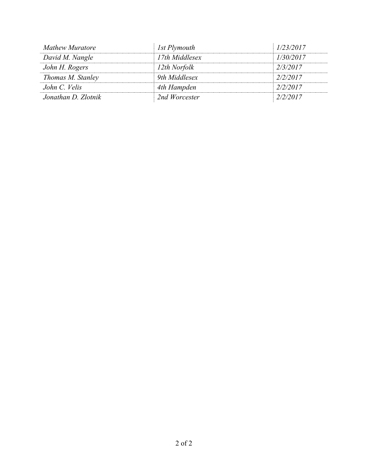| <b>Mathew Muratore</b> | 1st Plymouth   | 1/23/2017 |
|------------------------|----------------|-----------|
| David M. Nangle        | 17th Middlesex | 1/30/2017 |
| John H. Rogers         | 12th Norfolk   | 2/3/2017  |
| Thomas M. Stanley      | 9th Middlesex  | 2/2/2017  |
| John C. Velis          | 4th Hampden    | 2/2/2017  |
| Jonathan D. Zlotnik    | 2nd Worcester  | 2/2/2017  |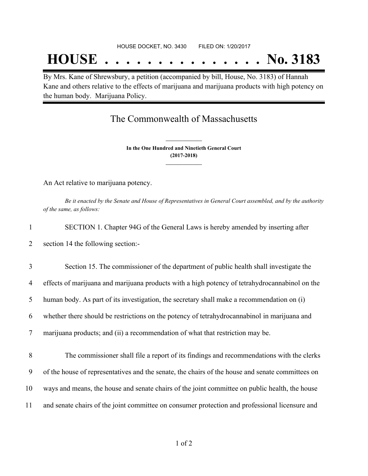## **HOUSE . . . . . . . . . . . . . . . No. 3183**

By Mrs. Kane of Shrewsbury, a petition (accompanied by bill, House, No. 3183) of Hannah Kane and others relative to the effects of marijuana and marijuana products with high potency on the human body. Marijuana Policy.

## The Commonwealth of Massachusetts

**In the One Hundred and Ninetieth General Court (2017-2018) \_\_\_\_\_\_\_\_\_\_\_\_\_\_\_**

**\_\_\_\_\_\_\_\_\_\_\_\_\_\_\_**

An Act relative to marijuana potency.

Be it enacted by the Senate and House of Representatives in General Court assembled, and by the authority *of the same, as follows:*

| SECTION 1. Chapter 94G of the General Laws is hereby amended by inserting after |
|---------------------------------------------------------------------------------|
| section 14 the following section:-                                              |

 Section 15. The commissioner of the department of public health shall investigate the effects of marijuana and marijuana products with a high potency of tetrahydrocannabinol on the human body. As part of its investigation, the secretary shall make a recommendation on (i) whether there should be restrictions on the potency of tetrahydrocannabinol in marijuana and marijuana products; and (ii) a recommendation of what that restriction may be.

 The commissioner shall file a report of its findings and recommendations with the clerks of the house of representatives and the senate, the chairs of the house and senate committees on ways and means, the house and senate chairs of the joint committee on public health, the house and senate chairs of the joint committee on consumer protection and professional licensure and